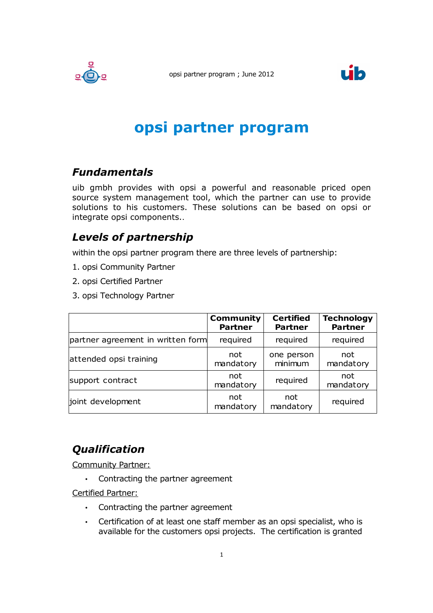



# **opsi partner program**

### *Fundamentals*

uib gmbh provides with opsi a powerful and reasonable priced open source system management tool, which the partner can use to provide solutions to his customers. These solutions can be based on opsi or integrate opsi components..

#### *Levels of partnership*

within the opsi partner program there are three levels of partnership:

- 1. opsi Community Partner
- 2. opsi Certified Partner
- 3. opsi Technology Partner

|                                   | <b>Community</b><br><b>Partner</b> | <b>Certified</b><br><b>Partner</b> | <b>Technology</b><br><b>Partner</b> |
|-----------------------------------|------------------------------------|------------------------------------|-------------------------------------|
| partner agreement in written form | required                           | required                           | required                            |
| attended opsi training            | not<br>mandatory                   | one person<br>minimum              | not<br>mandatory                    |
| support contract                  | not<br>mandatory                   | required                           | not<br>mandatory                    |
| joint development                 | not<br>mandatory                   | not<br>mandatory                   | required                            |

## *Qualification*

Community Partner:

• Contracting the partner agreement

Certified Partner:

- Contracting the partner agreement
- Certification of at least one staff member as an opsi specialist, who is available for the customers opsi projects. The certification is granted